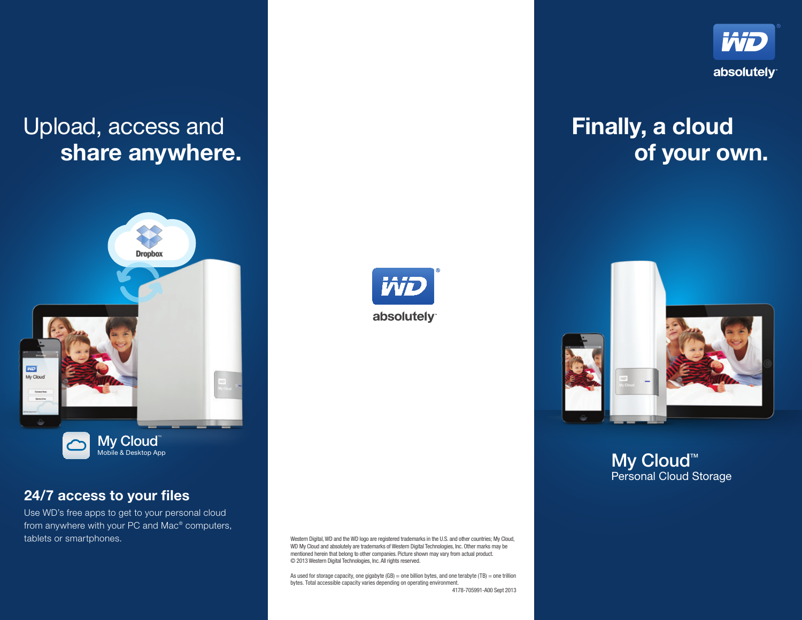# Upload, access and share anywhere.



### 24/7 access to your files

Use WD's free apps to get to your personal cloud from anywhere with your PC and Mac® computers, tablets or smartphones.



Western Digital, WD and the WD logo are registered trademarks in the U.S. and other countries; My Cloud, WD My Cloud and absolutely are trademarks of Western Digital Technologies, Inc. Other marks may be mentioned herein that belong to other companies. Picture shown may vary from actual product. © 2013 Western Digital Technologies, Inc. All rights reserved.

As used for storage capacity, one gigabyte  $(GB)$  = one billion bytes, and one terabyte  $(TB)$  = one trillion bytes. Total accessible capacity varies depending on operating environment. 4178-705991-A00 Sept 2013



# Finally, a cloud of your own.



My Cloud<sup>™</sup> Personal Cloud Storage